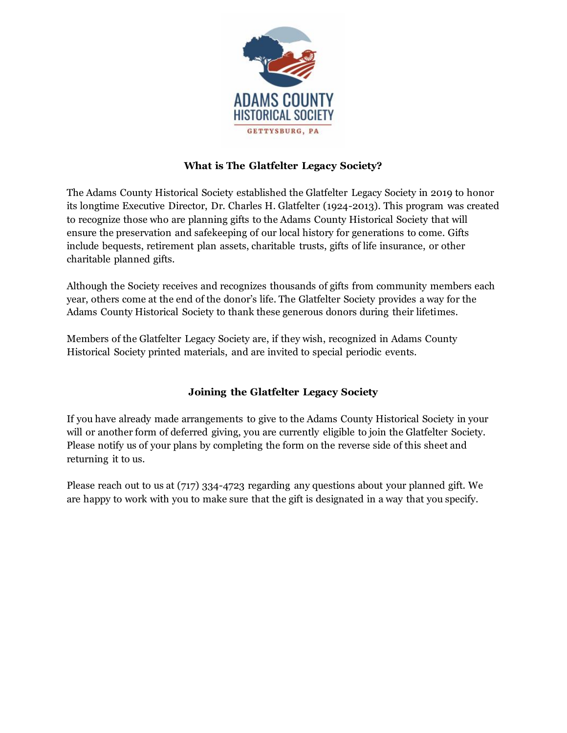

## **What is The Glatfelter Legacy Society?**

The Adams County Historical Society established the Glatfelter Legacy Society in 2019 to honor its longtime Executive Director, Dr. Charles H. Glatfelter (1924-2013). This program was created to recognize those who are planning gifts to the Adams County Historical Society that will ensure the preservation and safekeeping of our local history for generations to come. Gifts include bequests, retirement plan assets, charitable trusts, gifts of life insurance, or other charitable planned gifts.

Although the Society receives and recognizes thousands of gifts from community members each year, others come at the end of the donor's life. The Glatfelter Society provides a way for the Adams County Historical Society to thank these generous donors during their lifetimes.

Members of the Glatfelter Legacy Society are, if they wish, recognized in Adams County Historical Society printed materials, and are invited to special periodic events.

## **Joining the Glatfelter Legacy Society**

If you have already made arrangements to give to the Adams County Historical Society in your will or another form of deferred giving, you are currently eligible to join the Glatfelter Society. Please notify us of your plans by completing the form on the reverse side of this sheet and returning it to us.

Please reach out to us at (717) 334-4723 regarding any questions about your planned gift. We are happy to work with you to make sure that the gift is designated in a way that you specify.